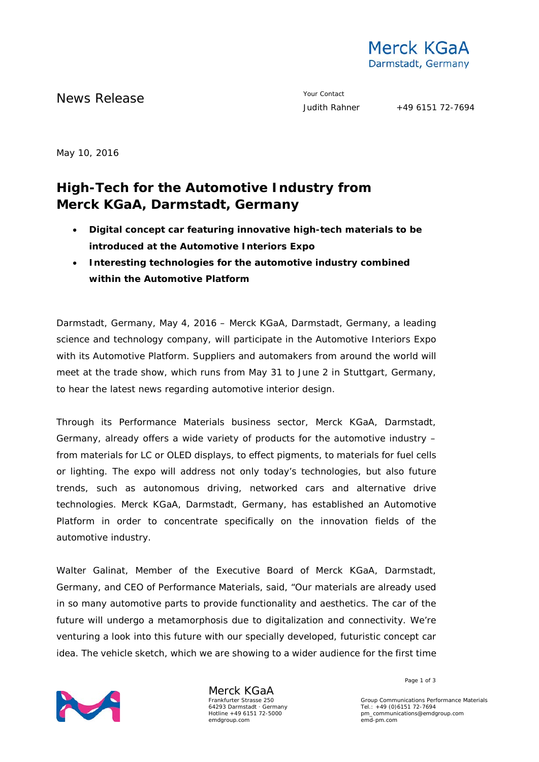

News Release The Contact Terms of the Measurement of the Vour Contact Tudith Rahner

May 10, 2016

## **High-Tech for the Automotive Industry from Merck KGaA, Darmstadt, Germany**

- **Digital concept car featuring innovative high-tech materials to be introduced at the Automotive Interiors Expo**
- **Interesting technologies for the automotive industry combined within the Automotive Platform**

Darmstadt, Germany, May 4, 2016 – Merck KGaA, Darmstadt, Germany, a leading science and technology company, will participate in the Automotive Interiors Expo with its Automotive Platform. Suppliers and automakers from around the world will meet at the trade show, which runs from May 31 to June 2 in Stuttgart, Germany, to hear the latest news regarding automotive interior design.

Through its Performance Materials business sector, Merck KGaA, Darmstadt, Germany, already offers a wide variety of products for the automotive industry – from materials for LC or OLED displays, to effect pigments, to materials for fuel cells or lighting. The expo will address not only today's technologies, but also future trends, such as autonomous driving, networked cars and alternative drive technologies. Merck KGaA, Darmstadt, Germany, has established an Automotive Platform in order to concentrate specifically on the innovation fields of the automotive industry.

Walter Galinat, Member of the Executive Board of Merck KGaA, Darmstadt, Germany, and CEO of Performance Materials, said, "Our materials are already used in so many automotive parts to provide functionality and aesthetics. The car of the future will undergo a metamorphosis due to digitalization and connectivity. We're venturing a look into this future with our specially developed, futuristic concept car idea. The vehicle sketch, which we are showing to a wider audience for the first time



Merck KGaA Frankfurter Strasse 250 64293 Darmstadt · Germany Hotline +49 6151 72-5000 emdgroup.com

Page 1 of 3

Group Communications Performance Materials Tel.: +49 (0)6151 72-7694 pm\_communications@emdgroup.com emd-pm.com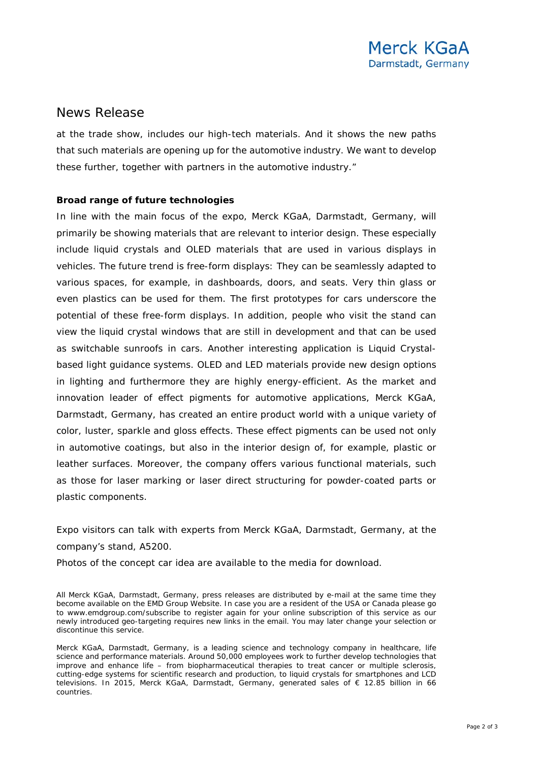## News Release

at the trade show, includes our high-tech materials. And it shows the new paths that such materials are opening up for the automotive industry. We want to develop these further, together with partners in the automotive industry."

## **Broad range of future technologies**

In line with the main focus of the expo, Merck KGaA, Darmstadt, Germany, will primarily be showing materials that are relevant to interior design. These especially include liquid crystals and OLED materials that are used in various displays in vehicles. The future trend is free-form displays: They can be seamlessly adapted to various spaces, for example, in dashboards, doors, and seats. Very thin glass or even plastics can be used for them. The first prototypes for cars underscore the potential of these free-form displays. In addition, people who visit the stand can view the liquid crystal windows that are still in development and that can be used as switchable sunroofs in cars. Another interesting application is Liquid Crystalbased light guidance systems. OLED and LED materials provide new design options in lighting and furthermore they are highly energy-efficient. As the market and innovation leader of effect pigments for automotive applications, Merck KGaA, Darmstadt, Germany, has created an entire product world with a unique variety of color, luster, sparkle and gloss effects. These effect pigments can be used not only in automotive coatings, but also in the interior design of, for example, plastic or leather surfaces. Moreover, the company offers various functional materials, such as those for laser marking or laser direct structuring for powder-coated parts or plastic components.

Expo visitors can talk with experts from Merck KGaA, Darmstadt, Germany, at the company's stand, A5200.

Photos of the concept car idea are available to the media for download.

All Merck KGaA, Darmstadt, Germany, press releases are distributed by e-mail at the same time they become available on the EMD Group Website. In case you are a resident of the USA or Canada please go to [www.emdgroup.com/subscribe](http://www.emdgroup.com/subscribe) to register again for your online subscription of this service as our newly introduced geo-targeting requires new links in the email. You may later change your selection or discontinue this service.

Merck KGaA, Darmstadt, Germany, is a leading science and technology company in healthcare, life science and performance materials. Around 50,000 employees work to further develop technologies that improve and enhance life – from biopharmaceutical therapies to treat cancer or multiple sclerosis, cutting-edge systems for scientific research and production, to liquid crystals for smartphones and LCD televisions. In 2015, Merck KGaA, Darmstadt, Germany, generated sales of € 12.85 billion in 66 countries.